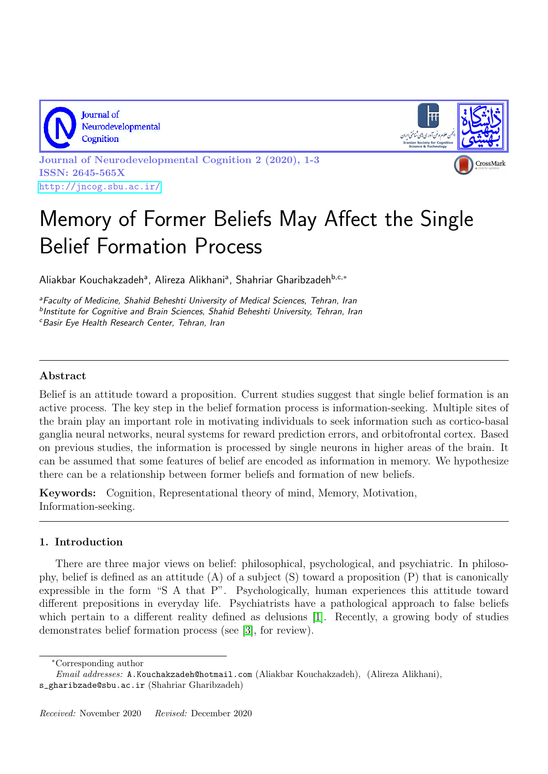

Journal of Neurodevelopmental Cognition



Journal of Neurodevelopmental Cognition 2 (2020), 1-3 ISSN: 2645-565X <http://jncog.sbu.ac.ir/>

## Memory of Former Beliefs May Affect the Single Belief Formation Process

Aliakbar Kouchakzadehª, Alireza Alikhaniª, Shahriar Gharibzadeh<sup>b,c,∗</sup>

<sup>a</sup>Faculty of Medicine, Shahid Beheshti University of Medical Sciences, Tehran, Iran **<sup>b</sup>Institute for Cognitive and Brain Sciences, Shahid Beheshti University, Tehran, Iran** <sup>c</sup>Basir Eye Health Research Center, Tehran, Iran

## Abstract

Belief is an attitude toward a proposition. Current studies suggest that single belief formation is an active process. The key step in the belief formation process is information-seeking. Multiple sites of the brain play an important role in motivating individuals to seek information such as cortico-basal ganglia neural networks, neural systems for reward prediction errors, and orbitofrontal cortex. Based on previous studies, the information is processed by single neurons in higher areas of the brain. It can be assumed that some features of belief are encoded as information in memory. We hypothesize there can be a relationship between former beliefs and formation of new beliefs.

Keywords: Cognition, Representational theory of mind, Memory, Motivation, Information-seeking.

## 1. Introduction

There are three major views on belief: philosophical, psychological, and psychiatric. In philosophy, belief is defined as an attitude  $(A)$  of a subject  $(S)$  toward a proposition  $(P)$  that is canonically expressible in the form "S A that P". Psychologically, human experiences this attitude toward different prepositions in everyday life. Psychiatrists have a pathological approach to false beliefs which pertain to a different reality defined as delusions [\[1\]](#page-2-0). Recently, a growing body of studies demonstrates belief formation process (see [\[3\]](#page-2-1), for review).

<sup>∗</sup>Corresponding author

Email addresses: A.Kouchakzadeh@hotmail.com (Aliakbar Kouchakzadeh), (Alireza Alikhani),

s\_gharibzade@sbu.ac.ir (Shahriar Gharibzadeh)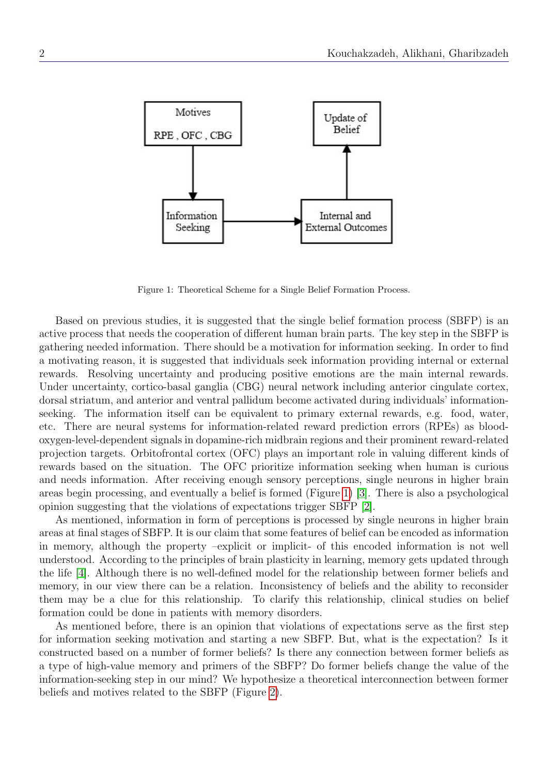

<span id="page-1-0"></span>Figure 1: Theoretical Scheme for a Single Belief Formation Process.

Based on previous studies, it is suggested that the single belief formation process (SBFP) is an active process that needs the cooperation of different human brain parts. The key step in the SBFP is gathering needed information. There should be a motivation for information seeking. In order to find a motivating reason, it is suggested that individuals seek information providing internal or external rewards. Resolving uncertainty and producing positive emotions are the main internal rewards. Under uncertainty, cortico-basal ganglia (CBG) neural network including anterior cingulate cortex, dorsal striatum, and anterior and ventral pallidum become activated during individuals' informationseeking. The information itself can be equivalent to primary external rewards, e.g. food, water, etc. There are neural systems for information-related reward prediction errors (RPEs) as bloodoxygen-level-dependent signals in dopamine-rich midbrain regions and their prominent reward-related projection targets. Orbitofrontal cortex (OFC) plays an important role in valuing different kinds of rewards based on the situation. The OFC prioritize information seeking when human is curious and needs information. After receiving enough sensory perceptions, single neurons in higher brain areas begin processing, and eventually a belief is formed (Figure [1\)](#page-1-0) [\[3\]](#page-2-1). There is also a psychological opinion suggesting that the violations of expectations trigger SBFP [\[2\]](#page-2-2).

As mentioned, information in form of perceptions is processed by single neurons in higher brain areas at final stages of SBFP. It is our claim that some features of belief can be encoded as information in memory, although the property –explicit or implicit- of this encoded information is not well understood. According to the principles of brain plasticity in learning, memory gets updated through the life [\[4\]](#page-2-3). Although there is no well-defined model for the relationship between former beliefs and memory, in our view there can be a relation. Inconsistency of beliefs and the ability to reconsider them may be a clue for this relationship. To clarify this relationship, clinical studies on belief formation could be done in patients with memory disorders.

As mentioned before, there is an opinion that violations of expectations serve as the first step for information seeking motivation and starting a new SBFP. But, what is the expectation? Is it constructed based on a number of former beliefs? Is there any connection between former beliefs as a type of high-value memory and primers of the SBFP? Do former beliefs change the value of the information-seeking step in our mind? We hypothesize a theoretical interconnection between former beliefs and motives related to the SBFP (Figure [2\)](#page-2-4).